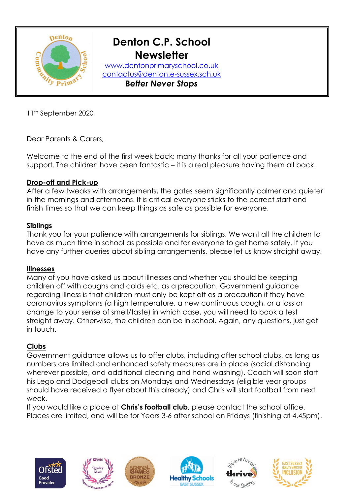

# **Denton C.P. School Newsletter**

 [contactus@denton.e-sussex.sch.uk](mailto:contactus@denton.e-sussex.sch.uk) *Better Never Stops*[www.dentonprimaryschool.co.uk](http://www.dentonprimaryschool.co.uk/)

11th September 2020

Dear Parents & Carers,

Welcome to the end of the first week back; many thanks for all your patience and support. The children have been fantastic – it is a real pleasure having them all back.

## **Drop-off and Pick-up**

After a few tweaks with arrangements, the gates seem significantly calmer and quieter in the mornings and afternoons. It is critical everyone sticks to the correct start and finish times so that we can keep things as safe as possible for everyone.

#### **Siblings**

Thank you for your patience with arrangements for siblings. We want all the children to have as much time in school as possible and for everyone to get home safely. If you have any further queries about sibling arrangements, please let us know straight away.

#### **Illnesses**

Many of you have asked us about illnesses and whether you should be keeping children off with coughs and colds etc. as a precaution. Government guidance regarding illness is that children must only be kept off as a precaution if they have coronavirus symptoms (a high temperature, a new continuous cough, or a loss or change to your sense of smell/taste) in which case, you will need to book a test straight away. Otherwise, the children can be in school. Again, any questions, just get in touch.

## **Clubs**

Government guidance allows us to offer clubs, including after school clubs, as long as numbers are limited and enhanced safety measures are in place (social distancing wherever possible, and additional cleaning and hand washing). Coach will soon start his Lego and Dodgeball clubs on Mondays and Wednesdays (eligible year groups should have received a flyer about this already) and Chris will start football from next week.

If you would like a place at **Chris's football club**, please contact the school office. Places are limited, and will be for Years 3-6 after school on Fridays (finishing at 4.45pm).